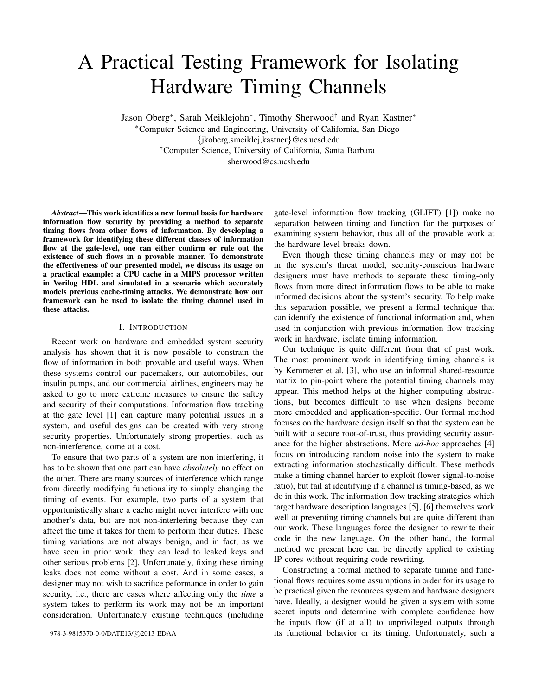# A Practical Testing Framework for Isolating Hardware Timing Channels

Jason Oberg<sup>∗</sup> , Sarah Meiklejohn<sup>∗</sup> , Timothy Sherwood† and Ryan Kastner<sup>∗</sup> <sup>∗</sup>Computer Science and Engineering, University of California, San Diego {jkoberg,smeiklej,kastner}@cs.ucsd.edu †Computer Science, University of California, Santa Barbara sherwood@cs.ucsb.edu

*Abstract*—This work identifies a new formal basis for hardware information flow security by providing a method to separate timing flows from other flows of information. By developing a framework for identifying these different classes of information flow at the gate-level, one can either confirm or rule out the existence of such flows in a provable manner. To demonstrate the effectiveness of our presented model, we discuss its usage on a practical example: a CPU cache in a MIPS processor written in Verilog HDL and simulated in a scenario which accurately models previous cache-timing attacks. We demonstrate how our framework can be used to isolate the timing channel used in these attacks.

## I. INTRODUCTION

Recent work on hardware and embedded system security analysis has shown that it is now possible to constrain the flow of information in both provable and useful ways. When these systems control our pacemakers, our automobiles, our insulin pumps, and our commercial airlines, engineers may be asked to go to more extreme measures to ensure the saftey and security of their computations. Information flow tracking at the gate level [1] can capture many potential issues in a system, and useful designs can be created with very strong security properties. Unfortunately strong properties, such as non-interference, come at a cost.

To ensure that two parts of a system are non-interfering, it has to be shown that one part can have *absolutely* no effect on the other. There are many sources of interference which range from directly modifying functionality to simply changing the timing of events. For example, two parts of a system that opportunistically share a cache might never interfere with one another's data, but are not non-interfering because they can affect the time it takes for them to perform their duties. These timing variations are not always benign, and in fact, as we have seen in prior work, they can lead to leaked keys and other serious problems [2]. Unfortunately, fixing these timing leaks does not come without a cost. And in some cases, a designer may not wish to sacrifice peformance in order to gain security, i.e., there are cases where affecting only the *time* a system takes to perform its work may not be an important consideration. Unfortunately existing techniques (including

gate-level information flow tracking (GLIFT) [1]) make no separation between timing and function for the purposes of examining system behavior, thus all of the provable work at the hardware level breaks down.

Even though these timing channels may or may not be in the system's threat model, security-conscious hardware designers must have methods to separate these timing-only flows from more direct information flows to be able to make informed decisions about the system's security. To help make this separation possible, we present a formal technique that can identify the existence of functional information and, when used in conjunction with previous information flow tracking work in hardware, isolate timing information.

Our technique is quite different from that of past work. The most prominent work in identifying timing channels is by Kemmerer et al. [3], who use an informal shared-resource matrix to pin-point where the potential timing channels may appear. This method helps at the higher computing abstractions, but becomes difficult to use when designs become more embedded and application-specific. Our formal method focuses on the hardware design itself so that the system can be built with a secure root-of-trust, thus providing security assurance for the higher abstractions. More *ad-hoc* approaches [4] focus on introducing random noise into the system to make extracting information stochastically difficult. These methods make a timing channel harder to exploit (lower signal-to-noise ratio), but fail at identifying if a channel is timing-based, as we do in this work. The information flow tracking strategies which target hardware description languages [5], [6] themselves work well at preventing timing channels but are quite different than our work. These languages force the designer to rewrite their code in the new language. On the other hand, the formal method we present here can be directly applied to existing IP cores without requiring code rewriting.

Constructing a formal method to separate timing and functional flows requires some assumptions in order for its usage to be practical given the resources system and hardware designers have. Ideally, a designer would be given a system with some secret inputs and determine with complete confidence how the inputs flow (if at all) to unprivileged outputs through its functional behavior or its timing. Unfortunately, such a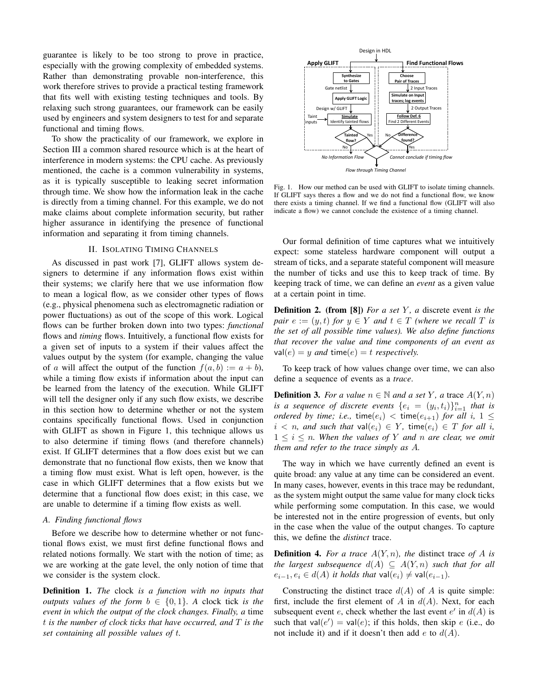guarantee is likely to be too strong to prove in practice, especially with the growing complexity of embedded systems. Rather than demonstrating provable non-interference, this work therefore strives to provide a practical testing framework that fits well with existing testing techniques and tools. By relaxing such strong guarantees, our framework can be easily used by engineers and system designers to test for and separate functional and timing flows.

To show the practicality of our framework, we explore in Section III a common shared resource which is at the heart of interference in modern systems: the CPU cache. As previously mentioned, the cache is a common vulnerability in systems, as it is typically susceptible to leaking secret information through time. We show how the information leak in the cache is directly from a timing channel. For this example, we do not make claims about complete information security, but rather higher assurance in identifying the presence of functional information and separating it from timing channels.

## II. ISOLATING TIMING CHANNELS

As discussed in past work [7], GLIFT allows system designers to determine if any information flows exist within their systems; we clarify here that we use information flow to mean a logical flow, as we consider other types of flows (e.g., physical phenomena such as electromagnetic radiation or power fluctuations) as out of the scope of this work. Logical flows can be further broken down into two types: *functional* flows and *timing* flows. Intuitively, a functional flow exists for a given set of inputs to a system if their values affect the values output by the system (for example, changing the value of a will affect the output of the function  $f(a, b) := a + b$ , while a timing flow exists if information about the input can be learned from the latency of the execution. While GLIFT will tell the designer only if any such flow exists, we describe in this section how to determine whether or not the system contains specifically functional flows. Used in conjunction with GLIFT as shown in Figure 1, this technique allows us to also determine if timing flows (and therefore channels) exist. If GLIFT determines that a flow does exist but we can demonstrate that no functional flow exists, then we know that a timing flow must exist. What is left open, however, is the case in which GLIFT determines that a flow exists but we determine that a functional flow does exist; in this case, we are unable to determine if a timing flow exists as well.

### *A. Finding functional flows*

Before we describe how to determine whether or not functional flows exist, we must first define functional flows and related notions formally. We start with the notion of time; as we are working at the gate level, the only notion of time that we consider is the system clock.

Definition 1. *The* clock *is a function with no inputs that outputs values of the form*  $b \in \{0, 1\}$ . A clock tick *is the event in which the output of the clock changes. Finally, a* time t *is the number of clock ticks that have occurred, and* T *is the set containing all possible values of* t*.*



Fig. 1. How our method can be used with GLIFT to isolate timing channels. If GLIFT says theres a flow and we do not find a functional flow, we know there exists a timing channel. If we find a functional flow (GLIFT will also indicate a flow) we cannot conclude the existence of a timing channel.

Our formal definition of time captures what we intuitively expect: some stateless hardware component will output a stream of ticks, and a separate stateful component will measure the number of ticks and use this to keep track of time. By keeping track of time, we can define an *event* as a given value at a certain point in time.

**Definition 2.** (from [8]) *For a set* Y, *a* discrete event *is the pair*  $e := (y, t)$  *for*  $y \in Y$  *and*  $t \in T$  *(where we recall*  $T$  *is the set of all possible time values). We also define functions that recover the value and time components of an event as*  $val(e) = y$  *and* time(e) = t *respectively.* 

To keep track of how values change over time, we can also define a sequence of events as a *trace*.

**Definition 3.** *For a value*  $n \in \mathbb{N}$  *and a set* Y, *a* trace  $A(Y, n)$ is a sequence of discrete events  $\{e_i = (y_i, t_i)\}_{i=1}^n$  that is *ordered by time; i.e.,* time $(e_i)$  < time $(e_{i+1})$  *for all i,*  $1 \leq$  $i < n$ , and such that  $val(e_i) \in Y$ , time $(e_i) \in T$  for all i,  $1 \leq i \leq n$ . When the values of Y and n are clear, we omit *them and refer to the trace simply as* A*.*

The way in which we have currently defined an event is quite broad: any value at any time can be considered an event. In many cases, however, events in this trace may be redundant, as the system might output the same value for many clock ticks while performing some computation. In this case, we would be interested not in the entire progression of events, but only in the case when the value of the output changes. To capture this, we define the *distinct* trace.

**Definition 4.** For a trace  $A(Y, n)$ , the distinct trace of A is *the largest subsequence*  $d(A) \subseteq A(Y, n)$  *such that for all*  $e_{i-1}, e_i \in d(A)$  *it holds that* val $(e_i) \neq \text{val}(e_{i-1})$ *.* 

Constructing the distinct trace  $d(A)$  of A is quite simple: first, include the first element of A in  $d(A)$ . Next, for each subsequent event e, check whether the last event  $e'$  in  $d(A)$  is such that val $(e') = \text{val}(e)$ ; if this holds, then skip e (i.e., do not include it) and if it doesn't then add  $e$  to  $d(A)$ .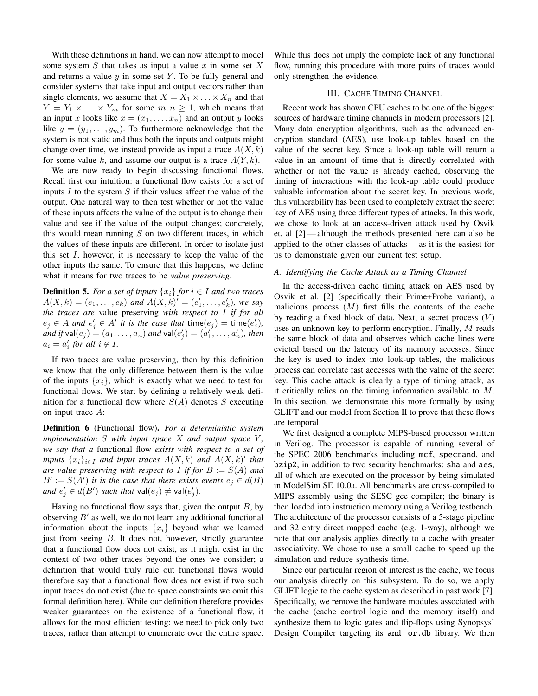With these definitions in hand, we can now attempt to model some system  $S$  that takes as input a value  $x$  in some set  $X$ and returns a value  $y$  in some set  $Y$ . To be fully general and consider systems that take input and output vectors rather than single elements, we assume that  $X = X_1 \times \ldots \times X_n$  and that  $Y = Y_1 \times \ldots \times Y_m$  for some  $m, n \geq 1$ , which means that an input x looks like  $x = (x_1, \ldots, x_n)$  and an output y looks like  $y = (y_1, \ldots, y_m)$ . To furthermore acknowledge that the system is not static and thus both the inputs and outputs might change over time, we instead provide as input a trace  $A(X, k)$ for some value k, and assume our output is a trace  $A(Y, k)$ .

We are now ready to begin discussing functional flows. Recall first our intuition: a functional flow exists for a set of inputs  $I$  to the system  $S$  if their values affect the value of the output. One natural way to then test whether or not the value of these inputs affects the value of the output is to change their value and see if the value of the output changes; concretely, this would mean running  $S$  on two different traces, in which the values of these inputs are different. In order to isolate just this set  $I$ , however, it is necessary to keep the value of the other inputs the same. To ensure that this happens, we define what it means for two traces to be *value preserving*.

**Definition 5.** *For a set of inputs*  $\{x_i\}$  *for*  $i \in I$  *and two traces*  $A(X, k) = (e_1, \ldots, e_k)$  and  $A(X, k)' = (e'_1, \ldots, e'_k)$ , we say *the traces are* value preserving *with respect to* I *if for all*  $e_j \in A$  and  $e'_j \in A'$  it is the case that  $\text{time}(e_j) = \text{time}(e'_j)$ ,  $\overline{and}$  if  $\mathsf{val}(e_j) = (a_1, \ldots, a_n)$  and  $\mathsf{val}(e'_j) = (a'_1, \ldots, a'_n)$ , then  $a_i = a'_i$  for all  $i \notin I$ .

If two traces are value preserving, then by this definition we know that the only difference between them is the value of the inputs  $\{x_i\}$ , which is exactly what we need to test for functional flows. We start by defining a relatively weak definition for a functional flow where  $S(A)$  denotes S executing on input trace A:

Definition 6 (Functional flow). *For a deterministic system*  $implementation S with input space X and output space Y$ , *we say that a* functional flow *exists with respect to a set of inputs*  $\{x_i\}_{i\in I}$  *and input traces*  $A(X, k)$  *and*  $A(X, k)'$  *that are value preserving with respect to* I *if for* B := S(A) *and*  $B' := S(A')$  *it is the case that there exists events*  $e_j \in d(B)$ *and*  $e'_{j} \in d(B')$  *such that*  $\mathsf{val}(e_{j}) \neq \mathsf{val}(e'_{j}).$ 

Having no functional flow says that, given the output  $B$ , by observing  $B'$  as well, we do not learn any additional functional information about the inputs  $\{x_i\}$  beyond what we learned just from seeing  $B$ . It does not, however, strictly guarantee that a functional flow does not exist, as it might exist in the context of two other traces beyond the ones we consider; a definition that would truly rule out functional flows would therefore say that a functional flow does not exist if two such input traces do not exist (due to space constraints we omit this formal definition here). While our definition therefore provides weaker guarantees on the existence of a functional flow, it allows for the most efficient testing: we need to pick only two traces, rather than attempt to enumerate over the entire space. While this does not imply the complete lack of any functional flow, running this procedure with more pairs of traces would only strengthen the evidence.

## III. CACHE TIMING CHANNEL

Recent work has shown CPU caches to be one of the biggest sources of hardware timing channels in modern processors [2]. Many data encryption algorithms, such as the advanced encryption standard (AES), use look-up tables based on the value of the secret key. Since a look-up table will return a value in an amount of time that is directly correlated with whether or not the value is already cached, observing the timing of interactions with the look-up table could produce valuable information about the secret key. In previous work, this vulnerability has been used to completely extract the secret key of AES using three different types of attacks. In this work, we chose to look at an access-driven attack used by Osvik et. al [2] — although the methods presented here can also be applied to the other classes of attacks— as it is the easiest for us to demonstrate given our current test setup.

# *A. Identifying the Cache Attack as a Timing Channel*

In the access-driven cache timing attack on AES used by Osvik et al. [2] (specifically their Prime+Probe variant), a malicious process  $(M)$  first fills the contents of the cache by reading a fixed block of data. Next, a secret process  $(V)$ uses an unknown key to perform encryption. Finally, M reads the same block of data and observes which cache lines were evicted based on the latency of its memory accesses. Since the key is used to index into look-up tables, the malicious process can correlate fast accesses with the value of the secret key. This cache attack is clearly a type of timing attack, as it critically relies on the timing information available to M. In this section, we demonstrate this more formally by using GLIFT and our model from Section II to prove that these flows are temporal.

We first designed a complete MIPS-based processor written in Verilog. The processor is capable of running several of the SPEC 2006 benchmarks including mcf, specrand, and bzip2, in addition to two security benchmarks: sha and aes, all of which are executed on the processor by being simulated in ModelSim SE 10.0a. All benchmarks are cross-compiled to MIPS assembly using the SESC gcc compiler; the binary is then loaded into instruction memory using a Verilog testbench. The architecture of the processor consists of a 5-stage pipeline and 32 entry direct mapped cache (e.g. 1-way), although we note that our analysis applies directly to a cache with greater associativity. We chose to use a small cache to speed up the simulation and reduce synthesis time.

Since our particular region of interest is the cache, we focus our analysis directly on this subsystem. To do so, we apply GLIFT logic to the cache system as described in past work [7]. Specifically, we remove the hardware modules associated with the cache (cache control logic and the memory itself) and synthesize them to logic gates and flip-flops using Synopsys' Design Compiler targeting its and or.db library. We then